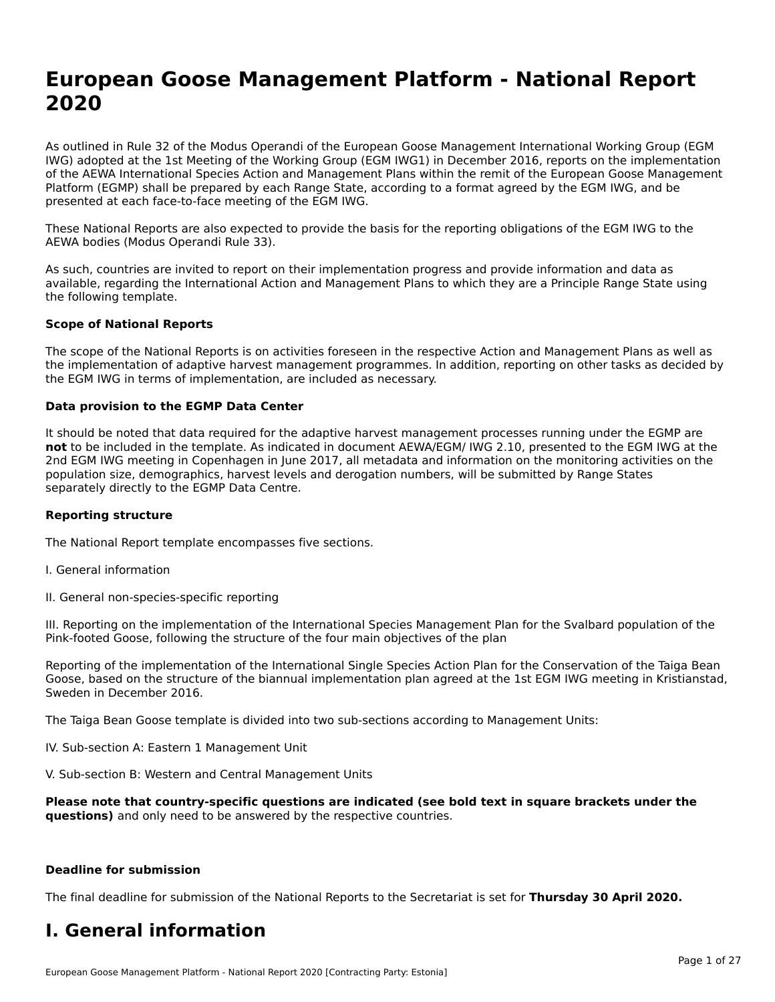# **European Goose Management Platform - National Report**European Goose Management Platform - National **Neport**<br>2020

As outlined in Rule 32 of the Modus Operandi of the European Goose Management International Working Group (EGM As buthled in Rule 32 of the Modus Operandi of the Lufopean Goose Management International Working Group (LGM<br>IWG) adopted at the 1st Meeting of the Working Group (EGM IWG1) in December 2016, reports on the implementation of the AEWA International Species Action and Management Plans within the remit of the European Goose Management Platform (EGMP) shall be prepared by each Range State, according to a format agreed by the EGM IWG, and be presented at each face-to-face meeting of the EGM IWG.

These National Reports are also expected to provide the basis for the reporting obligations of the EGM IWG to the AEWA bodies (Modus Operandi Rule 33).

As such, countries are invited to report on their implementation progress and provide information and data as<br>available, regarding the International Action and Management Plans to which they are a Principle Range State usi available, regarding the International Action and Management Plans to which they are a Principle Range State using the following template.

#### **Scope of National Reports**

The scope of the National Reports is on activities foreseen in the respective Action and Management Plans as well as The scope of the National Reports is on activities foreseen in the respective Action and Management Plans as well as<br>the implementation of adaptive harvest management programmes. In addition, reporting on other tasks as de the EGM IWG in terms of implementation, are included as necessary.

#### **Data provision to the EGMP Data Center**

It should be noted that data required for the adaptive harvest management processes running under the EGMP are **not** to be included in the template. As indicated in document AEWA/EGM/ IWG 2.10, presented to the EGM IWG at the 2nd EGM IWG meeting in Copenhagen in June 2017, all metadata and information on the monitoring activities on the population size, demographics, harvest levels and derogation numbers, will be submitted by Range States separately directly to the EGMP Data Centre.

#### **Reporting structure**

The National Report template encompasses five sections.

- I. General information
- II. General non-species-specific reporting

III. Reporting on the implementation of the International Species Management Plan for the Svalbard population of the

Reporting of the implementation of the International Single Species Action Plan for the Conservation of the Taiga Bean Reporting of the implementation of the international single species Action Fram for the conservation of the laiga beam<br>Goose, based on the structure of the biannual implementation plan agreed at the 1st EGM IWG meeting in

The Taiga Bean Goose template is divided into two sub-sections according to Management Units:

IV. Sub-section A: Eastern 1 Management Unit

V. Sub-section B: Western and Central Management Units

**Please note that country-specific questions are indicated (see bold text in square brackets under the questions)** and only need to be answered by the respective countries.

#### **Deadline for submission**

The final deadline for submission of the National Reports to the Secretariat is set for **Thursday 30 April 2020.**

### **I. General information**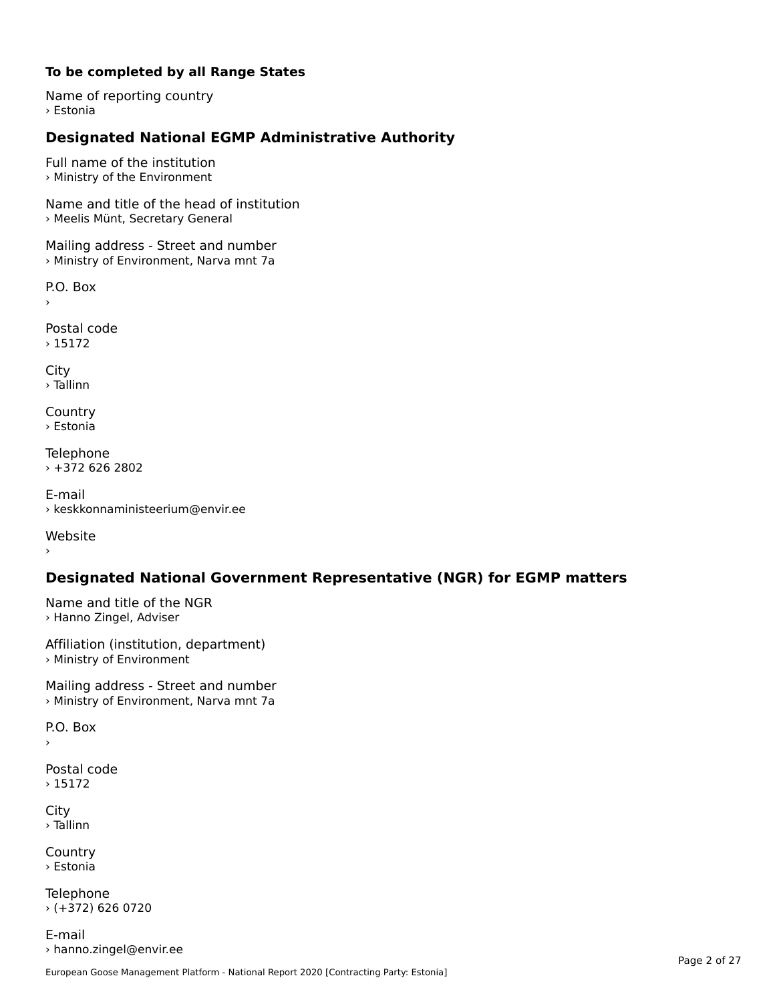### **To be completed by all Range States**

Name of reporting country › Estonia

# **Designated National EGMP Administrative Authority**

Full name of the institution › Ministry of the Environment

Name and title of the head of institution › Meelis Münt, Secretary General

Mailing address - Street and number › Ministry of Environment, Narva mnt 7a

P.O. Box

Postal code› 15172

City › Tallinn

**Country** › Estonia

Telephone › +372 626 2802

E-mail› keskkonnaministeerium@envir.ee

Website

### **Designated National Government Representative (NGR) for EGMP matters**

Name and title of the NGR › Hanno Zingel, Adviser

Affiliation (institution, department) › Ministry of Environment

Mailing address - Street and number > Ministry of Environment, Narva mnt 7a

P.O. Box

Postal code› 15172

City › Tallinn

Country› Estonia

Telephone › (+372) 626 0720

E-mail› hanno.zingel@envir.ee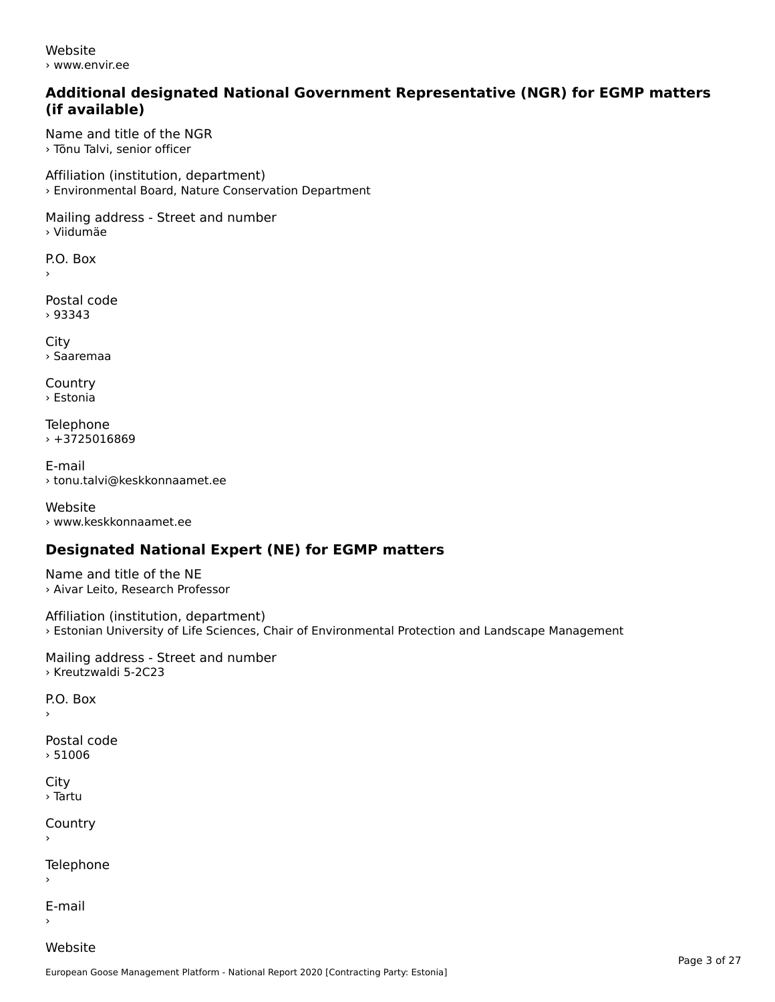Website› www.envir.ee

### **Additional designated National Government Representative (NGR) for EGMP matters (if available)**

Name and title of the NGR› Tõnu Talvi, senior officer

Affiliation (institution, department) › Environmental Board, Nature Conservation Department

Mailing address - Street and number › Viidumäe

P.O. Box

›

Postal code› 93343

**City** › Saaremaa

**Country** › Estonia

Telephone  $\times$  +3725016869

E-mail› tonu.talvi@keskkonnaamet.ee

Website › www.keskkonnaamet.ee

# **Designated National Expert (NE) for EGMP matters**

Name and title of the NE› Aivar Leito, Research Professor

Affiliation (institution, department) › Estonian University of Life Sciences, Chair of Environmental Protection and Landscape Management

Mailing address - Street and number › Kreutzwaldi 5-2C23

P.O. Box

›

Postal code› 51006

**City** › Tartu

**Country** 

Telephone

E-mail›

Website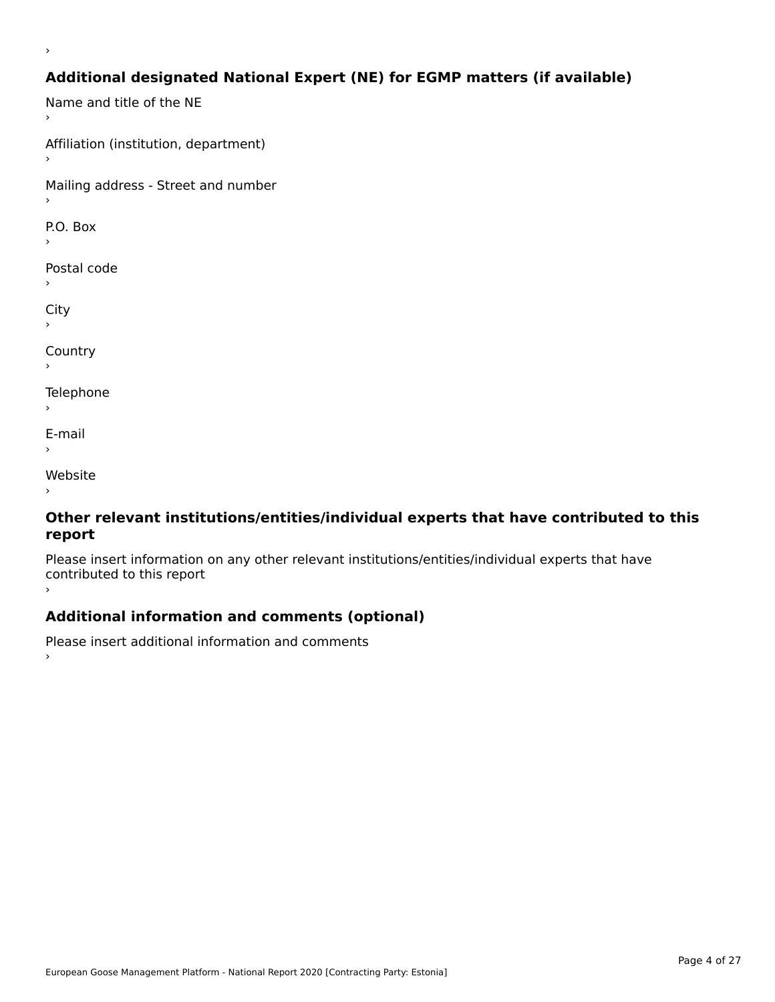# **Additional designated National Expert (NE) for EGMP matters (if available)**

Name and title of the NE Affiliation (institution, department) Mailing address - Street and number  $\overline{P}$ ›Postal code ›City ›**Country Telephone**  $\bar{\phantom{a}}$ E-mail›Website›

›

### **Other relevant institutions/entities/individual experts that have contributed to this report**report

Please insert information on any other relevant institutions/entities/individual experts that have contributed to this report ›

## **Additional information and comments (optional)**

Please insert additional information and comments ›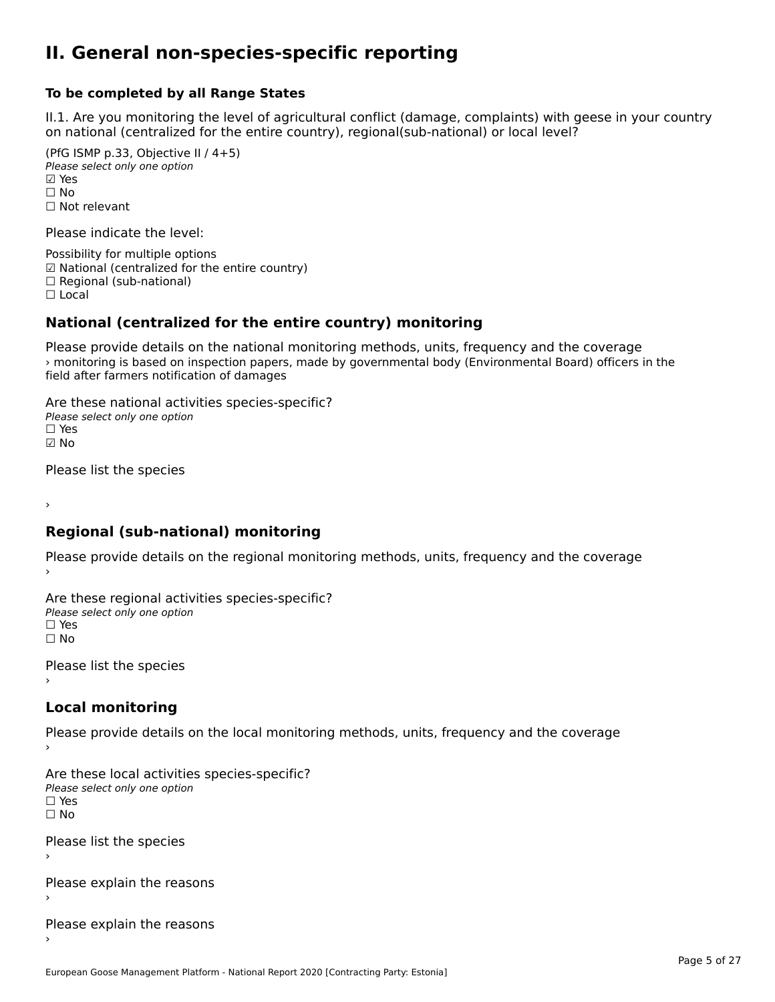### **II. General non-species-specific reporting**

#### **To be completed by all Range States**

II.1. Are you monitoring the level of agricultural conflict (damage, complaints) with geese in your country n.i. Are you monitoring the lever or agricultural connict (damage, complaints) with g<br>on national (centralized for the entire country), regional(sub-national) or local level?

(PfG ISMP p.33, Objective II  $(4+5)$ ) Please select only one option ☑ Yes**☑ Yes**<br>□ No □ No<br>□ Not relevant

Please indicate the level:

Possibility for multiple options гозымнутог mattiple options<br>☑ National (centralized for the entire country)  $\Box$  Regional (sub-national)

☐ Local

›

#### **National (centralized for the entire country) monitoring**

Please provide details on the national monitoring methods, units, frequency and the coverage › monitoring is based on inspection papers, made by governmental body (Environmental Board) officers in the field after farmers notification of damages

Are these national activities species-specific? ∩ne enese national activity<br>Please select only one option ☑ No

Please list the species

#### **Regional (sub-national) monitoring**

Please provide details on the regional monitoring methods, units, frequency and the coverage

Are these regional activities species-specific? Please select only one option ☐ Yes☐ No

Please list the species ›

### **Local monitoring**

Please provide details on the local monitoring methods, units, frequency and the coverage

Are these local activities species-specific? ∩ne enese local decrimed.<br>Please select only one option □ Yes<br>□ No

Please list the species ›

Please explain the reasons

Please explain the reasons ›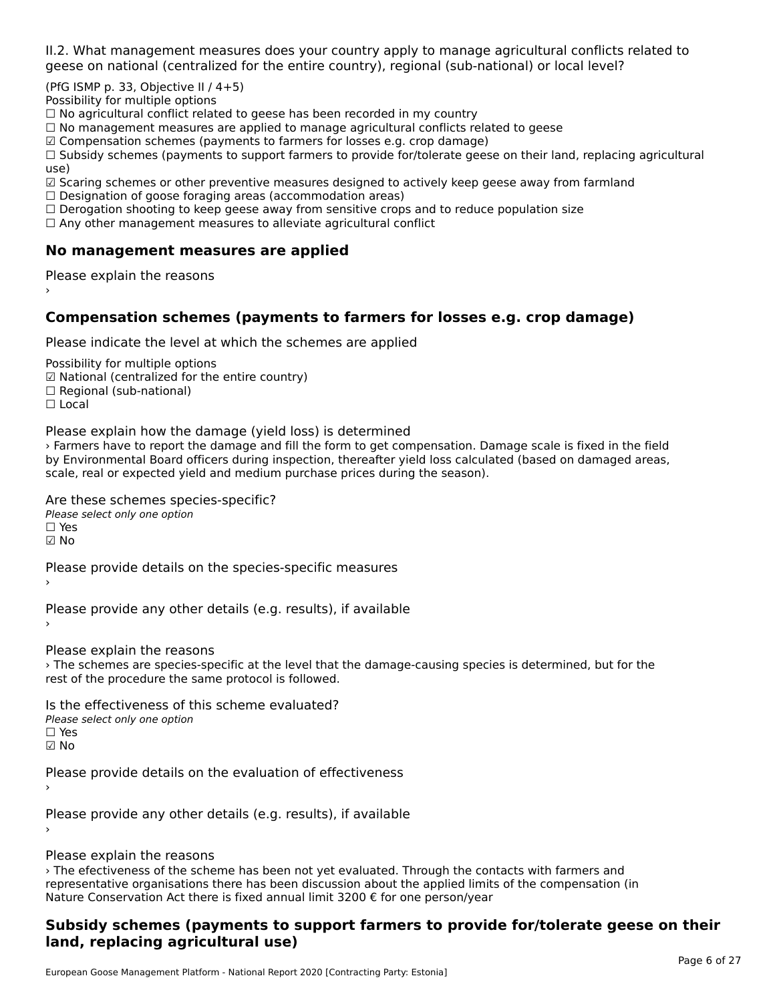II.2. What management measures does your country apply to manage agricultural conflicts related to

(PfG ISMP p. 33, Objective II  $/$  4+5)

Possibility for multiple options

™assibility for maltiple options<br>□ No agricultural conflict related to geese has been recorded in my country  $\Box$  No agricultural conflict related to geese has been recorded in high conflict  $r$ 

 $\Box$  No management measures are applied to manage agricultural commets relations to  $\Box$ 

 $\mathbb Z$  Compensation schemes (payments to farmers for losses e.g. crop damage)

ഇ compensation schemes (payments to farmers for losses e.g. crop damage)<br>□ Subsidy schemes (payments to support farmers to provide for/tolerate geese on their land, replacing agricultural use)

use,<br>☑ Scaring schemes or other preventive measures designed to actively keep geese away from farmland

⊠ Scaring scrientes of other preventive measures designed to a<br>□ Designation of goose foraging areas (accommodation areas)

□ Designation of goose foraging areas (accommodation areas)<br>□ Derogation shooting to keep geese away from sensitive crops and to reduce population size

 $\Box$  Any other management measures to alleviate agricultural conflict

### **No management measures are applied**

Please explain the reasons ›

### **Compensation schemes (payments to farmers for losses e.g. crop damage)**

Please indicate the level at which the schemes are applied

Possibility for multiple options rossibility for multiple options<br>☑ National (centralized for the entire country) ⊠ National (centranzed io<br>□ Regional (sub-national) ☐ Local

Please explain how the damage (yield loss) is determined

› Farmers have to report the damage and fill the form to get compensation. Damage scale is fixed in the field by Environmental Board officers during inspection, thereafter yield loss calculated (based on damaged areas, by Environmental board onicers during inspection, therearter yield loss calcula<br>scale, real or expected yield and medium purchase prices during the season).

Are these schemes species-specific?

∩ne these senemes spee<br>Please select only one option

 $\square$  Yes

☑ No

Please provide details on the species-specific measures

Please provide any other details (e.g. results), if available

Please explain the reasons

› The schemes are species-specific at the level that the damage-causing species is determined, but for the The schemes are species-specific at the lever that<br>rest of the procedure the same protocol is followed.

Is the effectiveness of this scheme evaluated?Please select only one option ☐ Yes☑ No

Please provide details on the evaluation of effectiveness

Please provide any other details (e.g. results), if available

Please explain the reasons

recase explain the reasons<br>The efectiveness of the scheme has been not yet evaluated. Through the contacts with farmers and<br>in the applied limits of the compensation (in representative organisations there has been discussion about the applied limits of the compensation (in representative organisations there has been discussion about the applied in it.<br>Nature Conservation Act there is fixed annual limit 3200 € for one person/year

### **Subsidy schemes (payments to support farmers to provide for/tolerate geese on their land, replacing agricultural use)**land, replacing agricultural use)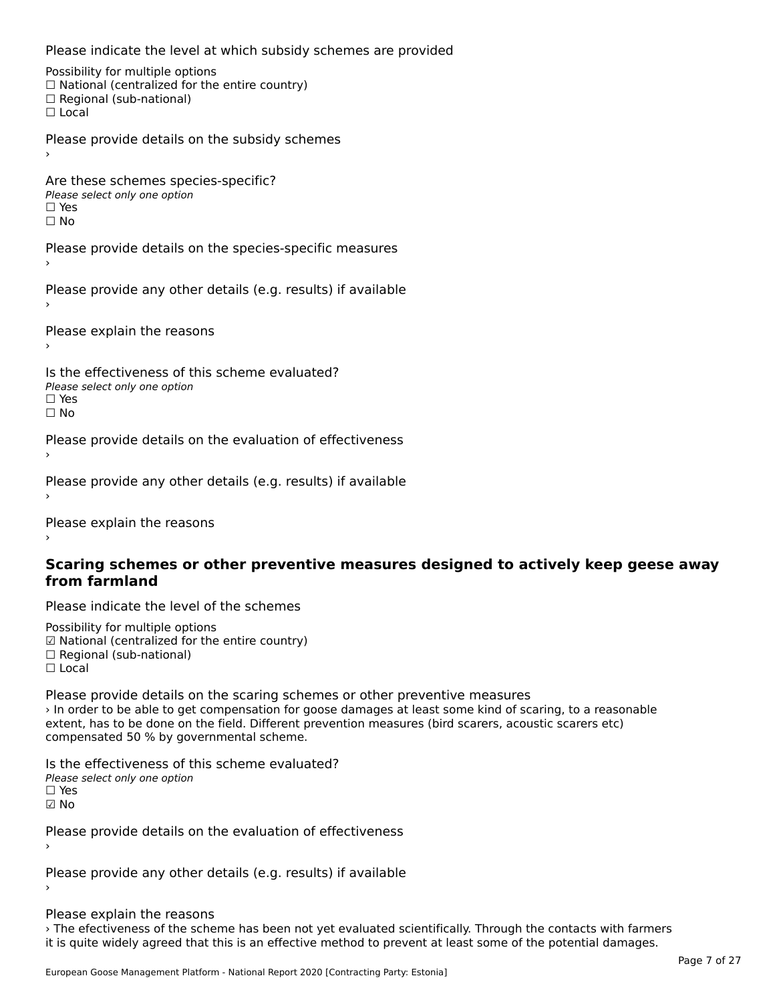Please indicate the level at which subsidy schemes are provided

Possibility for multiple options rossibility for multiple options<br>□ National (centralized for the entire country) □ Regional (centranzed to<br>□ Regional (sub-national) ☐ Local

Please provide details on the subsidy schemes

Are these schemes species-specific?ric criese serientes spec<br>Please select only one option ☐ Yes

☐ No

Please provide details on the species-specific measures

Please provide any other details (e.g. results) if available

Please explain the reasons

Is the effectiveness of this scheme evaluated?Please select only one option ☐ Yesים<br>⊡ No

Please provide details on the evaluation of effectiveness

Please provide any other details (e.g. results) if available

Please explain the reasons

#### **Scaring schemes or other preventive measures designed to actively keep geese awayfrom farmland**

Please indicate the level of the schemes

Possibility for multiple options гозывниу тог mattiple options<br>☑ National (centralized for the entire country)  $\Box$  Regional (sub-national) ☐ Local

Please provide details on the scaring schemes or other preventive measures › In order to be able to get compensation for goose damages at least some kind of scaring, to a reasonable extent, has to be done on the field. Different prevention measures (bird scarers, acoustic scarers etc) extent, has to be done on the neid. Direfent p<br>compensated 50 % by governmental scheme.

Is the effectiveness of this scheme evaluated? □ CIC CILCCLIVENC55 OF C<br>Please select only one option  $\square$  Yes ☑ No

Please provide details on the evaluation of effectiveness

Please provide any other details (e.g. results) if available

### Please explain the reasons

› The efectiveness of the scheme has been not yet evaluated scientifically. Through the contacts with farmers it is quite widely agreed that this is an effective method to prevent at least some of the potential damages.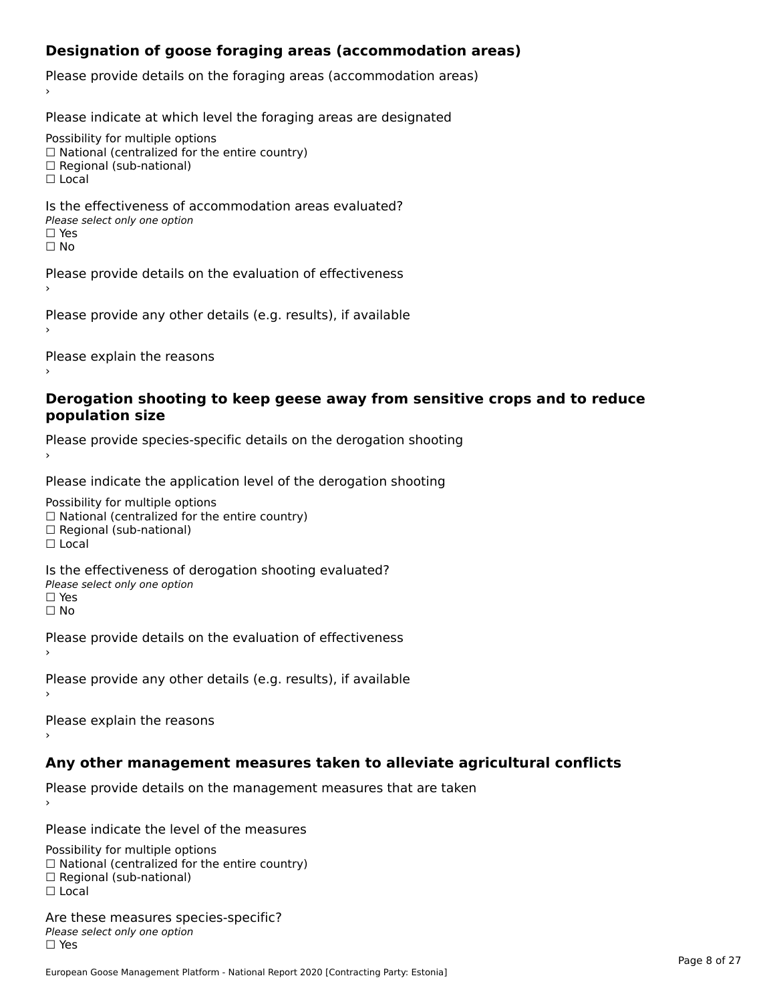## **Designation of goose foraging areas (accommodation areas)**

Please provide details on the foraging areas (accommodation areas)

Please indicate at which level the foraging areas are designated

Possibility for multiple options

rossibility for multiple options<br>□ National (centralized for the entire country)

□ National (centralized io<br>□ Regional (sub-national)

☐ Local

#### Is the effectiveness of accommodation areas evaluated?□ CITC CITCCLIVERESS OF Q<br>Please select only one option □ Yes<br>□ No

Please provide details on the evaluation of effectiveness

Please provide any other details (e.g. results), if available

Please explain the reasons

### **Derogation shooting to keep geese away from sensitive crops and to reduce population size**

Please provide species-specific details on the derogation shooting ›

Please indicate the application level of the derogation shooting

Possibility for multiple options

 $\Box$  National (centralized for the entire country)

 $\Box$  Regional (sub-national)

☐ Local

Is the effectiveness of derogation shooting evaluated?

□ CITC CITCCLIVENC55 OF 0<br>Please select only one option

□ Yes<br>□ No

Please provide details on the evaluation of effectiveness

Please provide any other details (e.g. results), if available

Please explain the reasons

### **Any other management measures taken to alleviate agricultural conflicts**

Please provide details on the management measures that are taken

Please indicate the level of the measures

Possibility for multiple options rossibility for multiple options<br>□ National (centralized for the entire country) □ Regional (centranzed to<br>□ Regional (sub-national) ☐ Local

Are these measures species-specific?Please select only one optionriease<br>□ Yes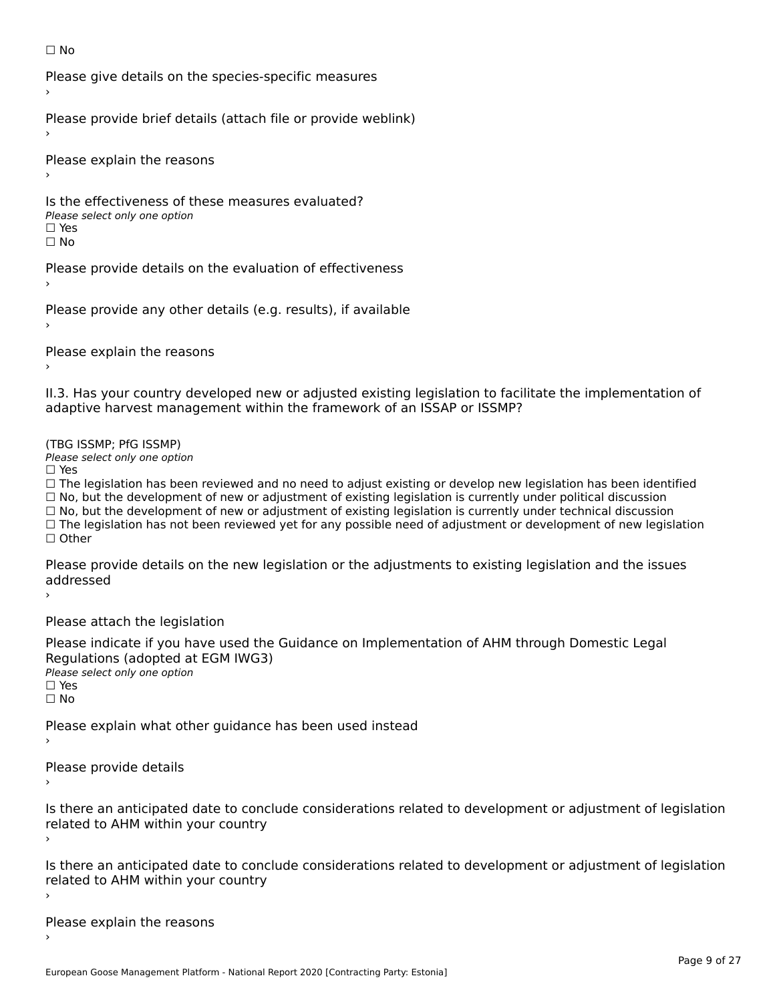#### ☐ No

Please give details on the species-specific measures

Please provide brief details (attach file or provide weblink)

Please explain the reasons

Is the effectiveness of these measures evaluated?□ CIC CILCCLIVENC55 OF C<br>Please select only one option □ Yes<br>□ No

Please provide details on the evaluation of effectiveness

Please provide any other details (e.g. results), if available

Please explain the reasons

II.3. Has your country developed new or adjusted existing legislation to facilitate the implementation of adaptive harvest management within the framework of an ISSAP or ISSMP?

(TBG ISSMP; PfG ISSMP)

Please select only one option ☐ Yes

 $\Box$  Yes

☐ The legislation has been reviewed and no need to adjust existing or develop new legislation has been identified  $\Box$  The regislation has been reviewed and no need to adjust existing or develop hew regislation has been identify and  $\Box$  No, but the development of new or adjustment of existing legislation is currently under political  $\Box$  No, but the development of new or adjustment of existing legislation is currently under technical discussion ☐ The legislation has not been reviewed yet for any possible need of adjustment or development of new legislation □ Tie ie<br>□ Other

Please provide details on the new legislation or the adjustments to existing legislation and the issues riease piu<br>seddressed ›

Please attach the legislation

Please indicate if you have used the Guidance on Implementation of AHM through Domestic Legal Regulations (adopted at EGM IWG3) ∩egalations (aaopted al.<br>Please select only one option □ Yes<br>□ No

Please explain what other guidance has been used instead

Please provide details

Is there an anticipated date to conclude considerations related to development or adjustment of legislation is there an anticipated date to control<br>related to AHM within your country

Is there an anticipated date to conclude considerations related to development or adjustment of legislation Proced to Arm within your country

Please explain the reasons›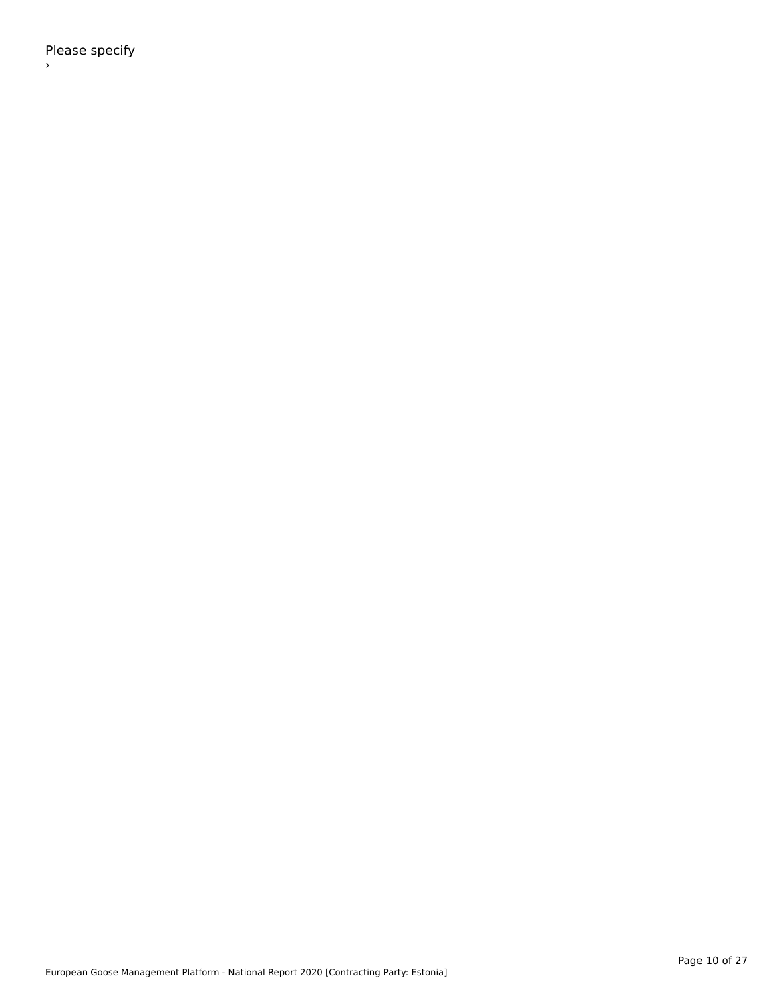Please specify ›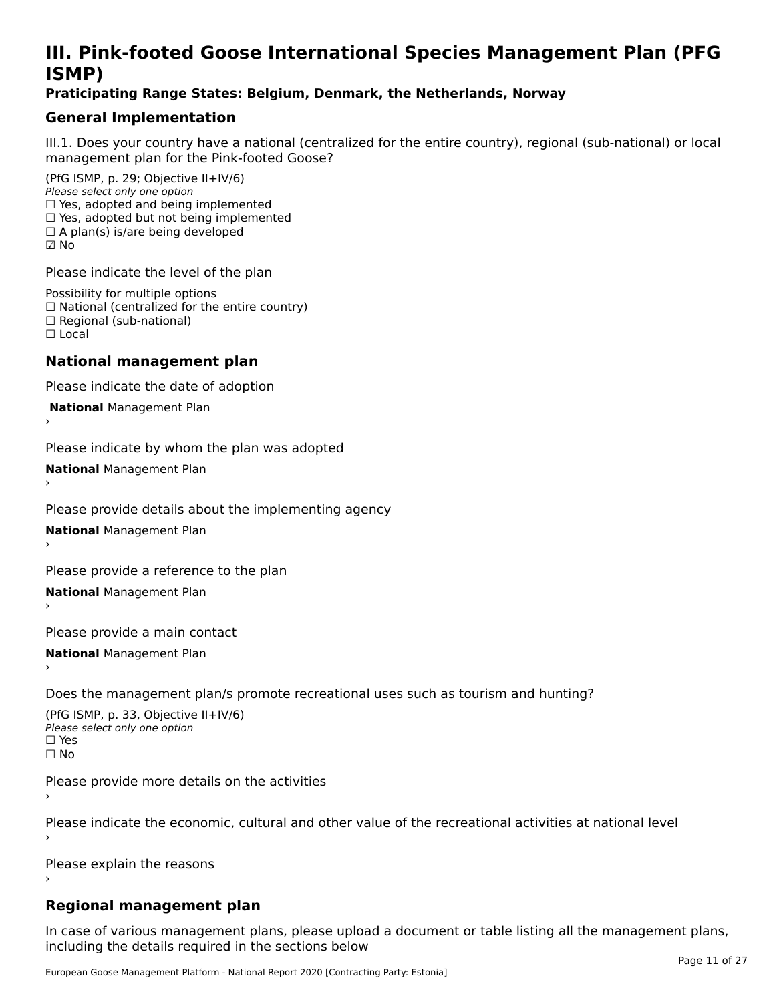# **III. Pink-footed Goose International Species Management Plan (PFG**III. FIIIN-IUULEU GUUSE IIILEI II**atiunai Species Management Fian (FTG**<br>ISMD)

### **Praticipating Range States: Belgium, Denmark, the Netherlands, Norway**

## **General Implementation**

III.1. Does your country have a national (centralized for the entire country), regional (sub-national) or local

(PfG ISMP, p. 29; Objective II+IV/6) Please select only one option *riease select only one option*<br>□ Yes, adopted and being implemented  $\Box$  ies, adopted and being implemented<br> $\Box$  Yes, adopted but not being implemented  $\Box$  A plan(s) is/are being developed ☑ No

Please indicate the level of the plan

Possibility for multiple options rossibility for multiple options<br>□ National (centralized for the entire country) □ National (centralized io<br>□ Regional (sub-national) ☐ Local

#### **National management plan**

Please indicate the date of adoption

 **National** Management Plan

›

Please indicate by whom the plan was adopted

**National** Management Plan ›

Please provide details about the implementing agency

**National** Management Plan ›

Please provide a reference to the plan

**National** Management Plan ›

Please provide a main contact

**National** Management Plan ›

Does the management plan/s promote recreational uses such as tourism and hunting?

(PfG ISMP, p. 33, Objective II+IV/6) Please select only one optionPlease select only one option  $\square$  Yes ☐ No

Please provide more details on the activities

Please indicate the economic, cultural and other value of the recreational activities at national level

Please explain the reasons

### **Regional management plan**

In case of various management plans, please upload a document or table listing all the management plans, $\frac{1}{2}$  case of various management plans, please uploa including the details required in the sections below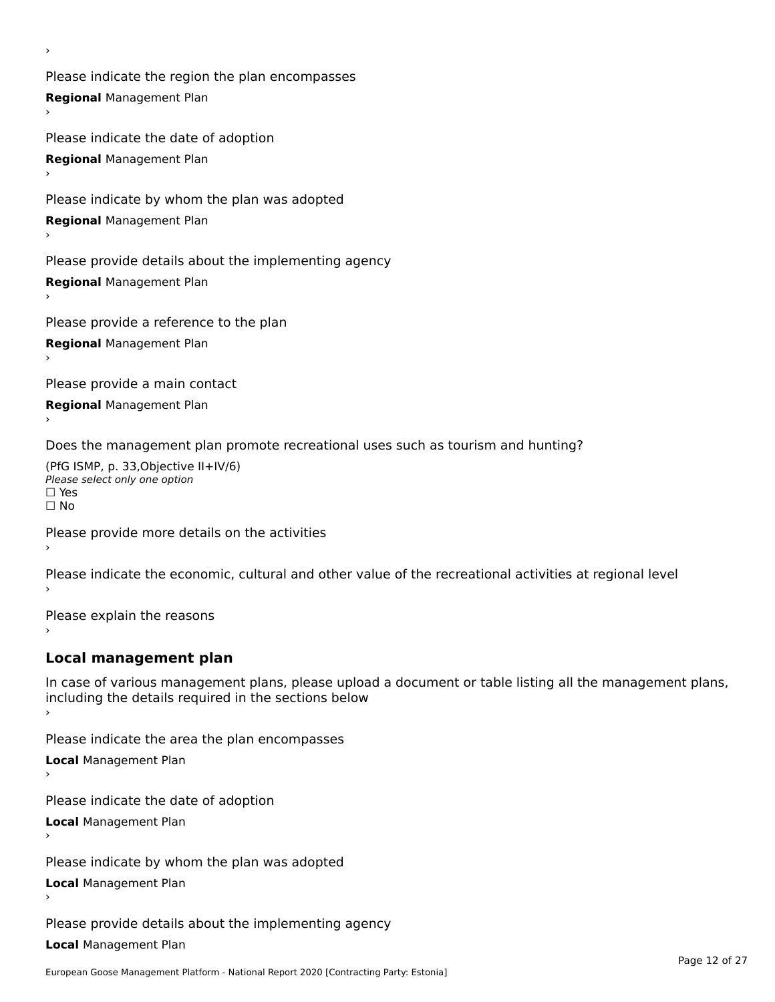Please indicate the region the plan encompasses **Regional** Management Plan

Please indicate the date of adoption **Regional** Management Plan ›

Please indicate by whom the plan was adopted

**Regional** Management Plan

›

Please provide details about the implementing agency

**Regional** Management Plan

Please provide a reference to the plan

**Regional** Management Plan

Please provide a main contact

**Regional** Management Plan

Does the management plan promote recreational uses such as tourism and hunting?

(PfG ISMP, p. 33,Objective II+IV/6) ∩∩ וויוכו פון<br>Please select only one option<br>□ Yes □ Yes<br>□ No

Please provide more details on the activities

Please indicate the economic, cultural and other value of the recreational activities at regional level

Please explain the reasons ›

### **Local management plan**

In case of various management plans, please upload a document or table listing all the management plans, In case of various management plans, please uploa<br>including the details required in the sections below

Please indicate the area the plan encompasses

**Local** Management Plan

Please indicate the date of adoption

**Local** Management Plan›

Please indicate by whom the plan was adopted

**Local** Management Plan

Please provide details about the implementing agency

**Local** Management Plan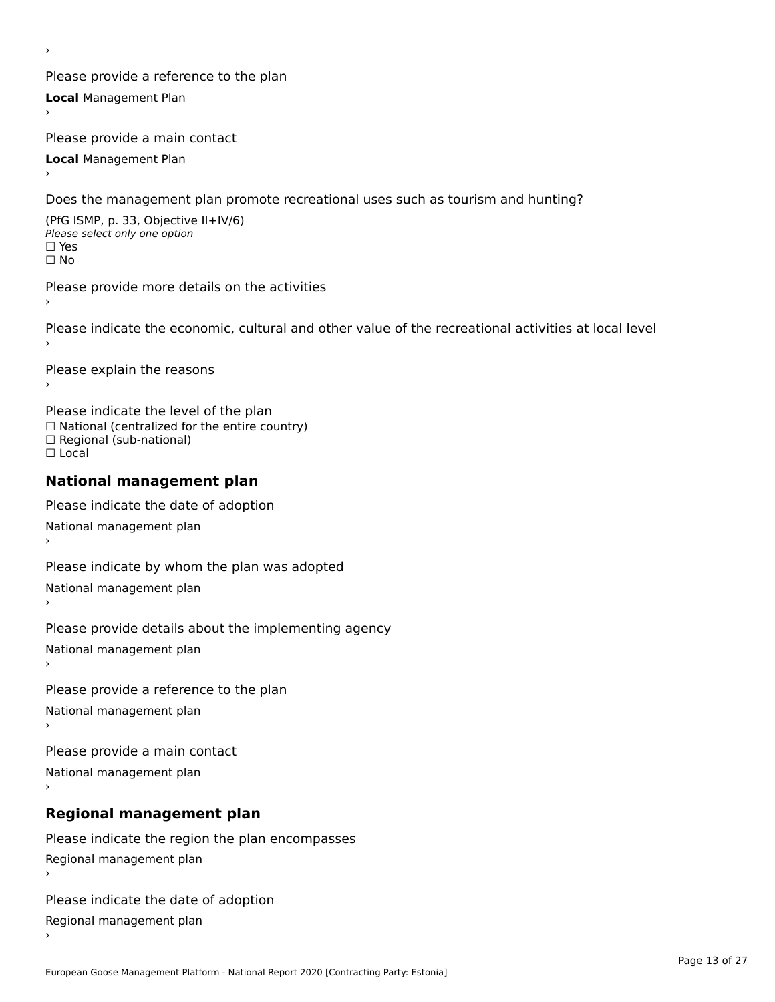Please provide a reference to the plan **Local** Management Plan

Please provide a main contact

**Local** Management Plan

›

Does the management plan promote recreational uses such as tourism and hunting?

(PfG ISMP, p. 33, Objective II+IV/6) Please select only one option☐ Yes☐ No

Please provide more details on the activities

Please indicate the economic, cultural and other value of the recreational activities at local level

Please explain the reasons ›

Please indicate the level of the plan ∩ease marcate the lever of the plan<br>□ National (centralized for the entire country) □ National (centralized io<br>□ Regional (sub-national) ☐ Local

#### **National management plan**

Please indicate the date of adoption National management plan

Please indicate by whom the plan was adopted

National management plan ›

Please provide details about the implementing agency

National management plan

Please provide a reference to the plan

National management plan

Please provide a main contact

National management plan

# **Regional management plan**

Please indicate the region the plan encompasses Regional management plan

Please indicate the date of adoption

Regional management plan

European Goose Management Platform - National Report 2020 [Contracting Party: Estonia]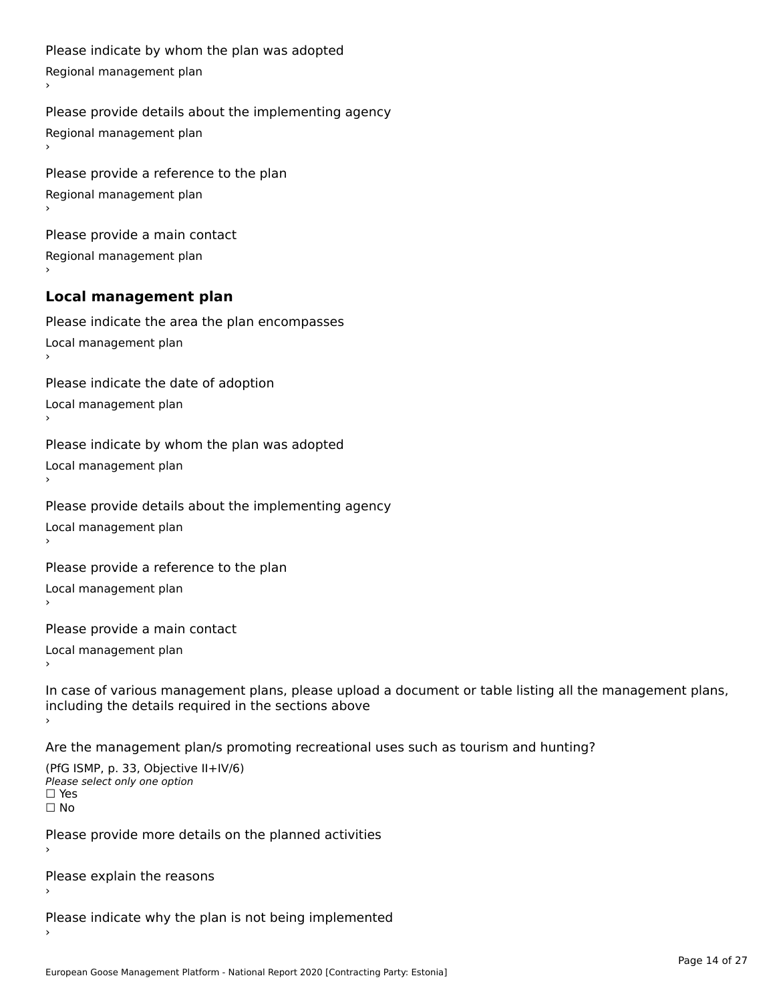```
Please indicate by whom the plan was adopted Regional management plan
Please provide details about the implementing agency Regional management plan
Please provide a reference to the plan Regional management plan
Please provide a main contact Regional management plan
Local management plan
Please indicate the area the plan encompasses Local management plan›Please indicate the date of adoption Local management plan١,
Please indicate by whom the plan was adopted Local management plan›Please provide details about the implementing agency Local management plan١,
Please provide a reference to the plan Local management plan›Please provide a main contact Local management plan١,
In case of various management plans, please upload a document or table listing all the management plans,in case or various management plans, please upload
including the details required in the sections above
Are the management plan/s promoting recreational uses such as tourism and hunting?
```

```
(PfG ISMP, p. 33, Objective II+IV/6)
Please select only one option☐ Yes☐ No
```
Please provide more details on the planned activities

Please explain the reasons›

Please indicate why the plan is not being implemented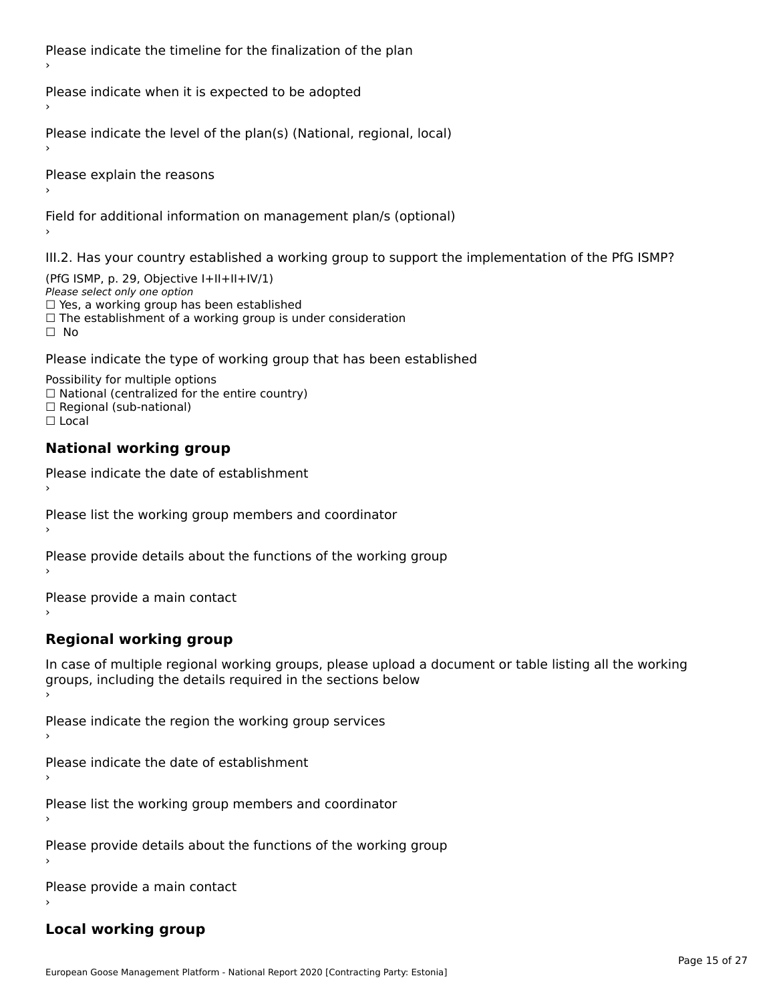Please indicate the timeline for the finalization of the plan

Please indicate when it is expected to be adopted

Please indicate the level of the plan(s) (National, regional, local)

Please explain the reasons

Field for additional information on management plan/s (optional)

III.2. Has your country established a working group to support the implementation of the PfG ISMP?

(PfG ISMP, p. 29, Objective  $I+II+II+IV/1$ ) Please select only one option □ Yes, a working group has been established □ Tes, a working group has been established<br>□ The establishment of a working group is under consideration

Please indicate the type of working group that has been established

Possibility for multiple options ™assibility for multiple options<br>□ National (centralized for the entire country) □ National (centralized io<br>□ Regional (sub-national)  $\Box$  Local

#### **National working group**

›

Please indicate the date of establishment

Please list the working group members and coordinator ›

Please provide details about the functions of the working group ›

Please provide a main contact ›

**Regional working group**

In case of multiple regional working groups, please upload a document or table listing all the working In case of multiple regional working groups, please upload a<br>groups, including the details required in the sections below

Please indicate the region the working group services ›

Please indicate the date of establishment ›

Please list the working group members and coordinator ›

Please provide details about the functions of the working group ›

Please provide a main contact ›

### **Local working group**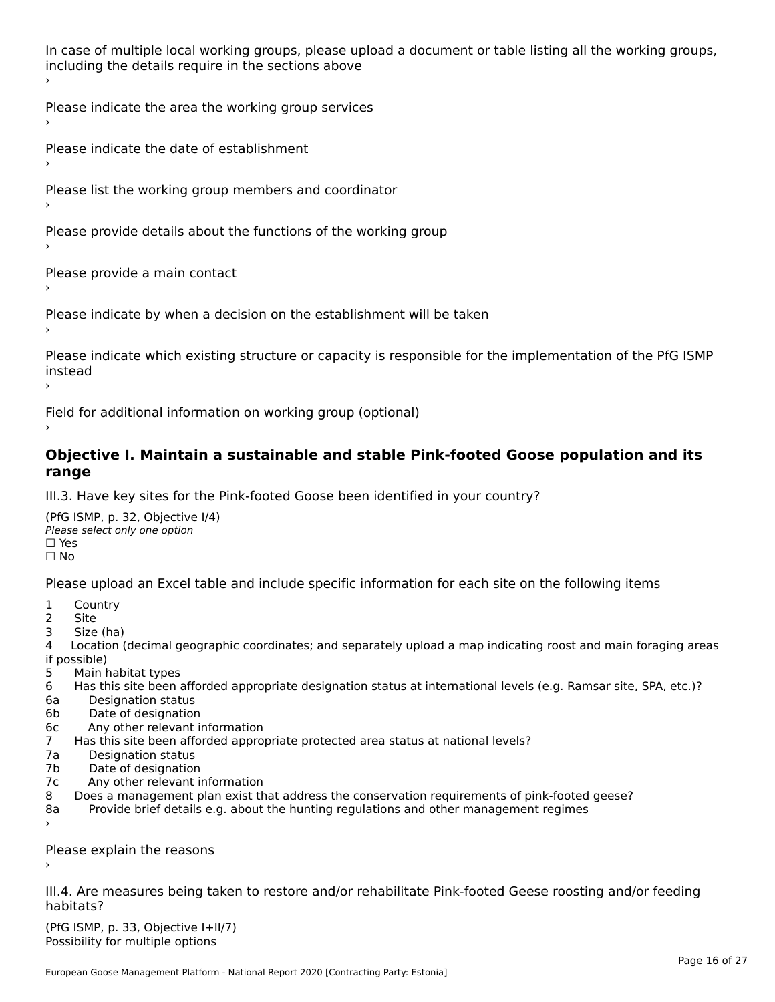In case of multiple local working groups, please upload a document or table listing all the working groups, including the details require in the sections above

Please indicate the area the working group services ›

Please indicate the date of establishment ›

Please list the working group members and coordinator

›

Please provide details about the functions of the working group ›

Please provide a main contact ›

Please indicate by when a decision on the establishment will be taken

Please indicate which existing structure or capacity is responsible for the implementation of the PfG ISMP instead ›

Field for additional information on working group (optional)

### **Objective I. Maintain a sustainable and stable Pink-footed Goose population and its range**range

III.3. Have key sites for the Pink-footed Goose been identified in your country?

(PfG ISMP, p. 32, Objective I/4)Please select only one option ☐ Yes☐ No

Please upload an Excel table and include specific information for each site on the following items

- $1 \quad \alpha$
- 2 Site
- 2 Site<br>3 Size (ha)

د حدد una<br>4 Location (decimal geographic coordinates; and separately upload a map indicating roost and main foraging areas 4 Location<br>if possible)

- 5 Main habitat types
- 6 Has this site been afforded appropriate designation status at international levels (e.g. Ramsar site, SPA, etc.)? 6. Bestweetter status
- 6a Designation status<br>6b Date of designation
- 
- 6c Any other relevant information
- 7 Has this site been afforded appropriate protected area status at national levels? 7a Designation status
- 7a Designation status<br>7b Date of designation
- 
- 7c Any other relevant information
- 8 Does a management plan exist that address the conservation requirements of pink-footed geese?
- 8a Provide brief details e.g. about the hunting regulations and other management regimes ›

Please explain the reasons

III.4. Are measures being taken to restore and/or rehabilitate Pink-footed Geese roosting and/or feeding habitats?

 $(PCI GMP, p. 33, Qb)$  is the I+II/7) Possibility for multiple optionsPossibility for multiple options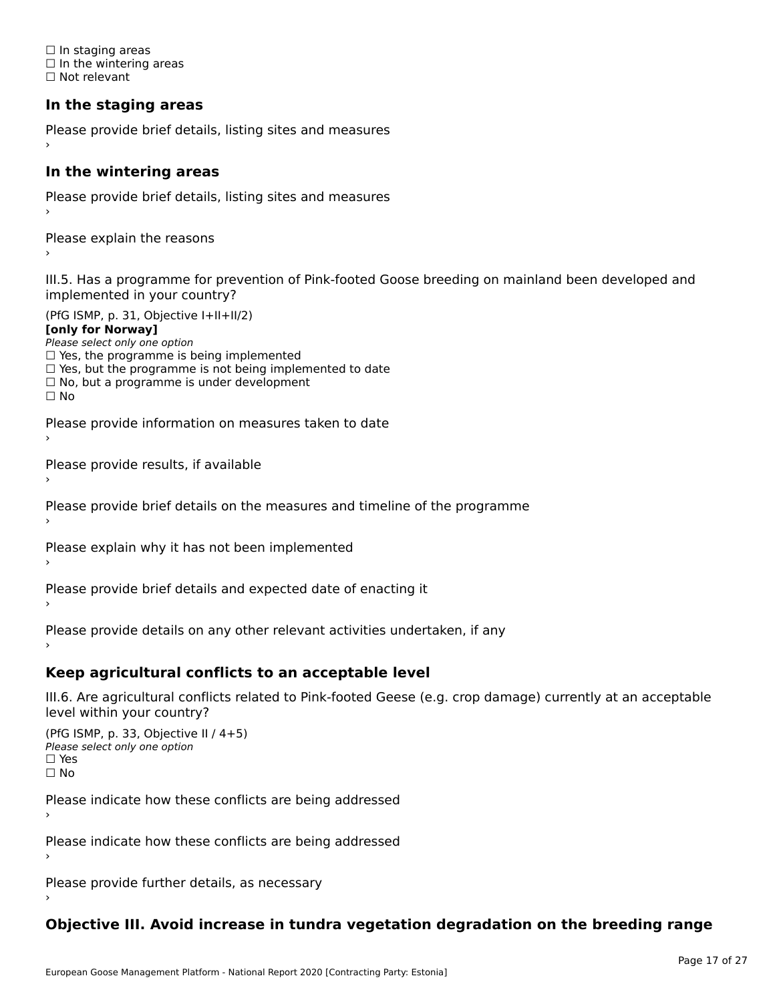☐ In staging areas □ in staging areas<br>□ In the wintering areas ☐ Not relevant

# **In the staging areas**

```
Please provide brief details, listing sites and measures ›
```
#### **In the wintering areas**

Please provide brief details, listing sites and measures ›

Please explain the reasons

III.5. Has a programme for prevention of Pink-footed Goose breeding on mainland been developed and implemented in your country?

(PfG ISMP, p. 31, Objective I+II+II/2)

**[only for Norway]**

Please select only one option riease select only one option<br>□ Yes, the programme is being implemented

 $\Box$  ies, the programme is being implemented to date  $\Box$  Yes, but the programme is not being implemented to date

 $\Box$  No, but a programme is under development

Please provide information on measures taken to date

Please provide results, if available

Please provide brief details on the measures and timeline of the programme

Please explain why it has not been implemented

Please provide brief details and expected date of enacting it

Please provide details on any other relevant activities undertaken, if any›

**Keep agricultural conflicts to an acceptable level**

III.6. Are agricultural conflicts related to Pink-footed Geese (e.g. crop damage) currently at an acceptable

```
(PfG ISMP, p. 33, Objective II (4+5))
Please select only one option
☐ Yes☐ No
```
Please indicate how these conflicts are being addressed

Please indicate how these conflicts are being addressed›

Please provide further details, as necessary ›

# **Objective III. Avoid increase in tundra vegetation degradation on the breeding range**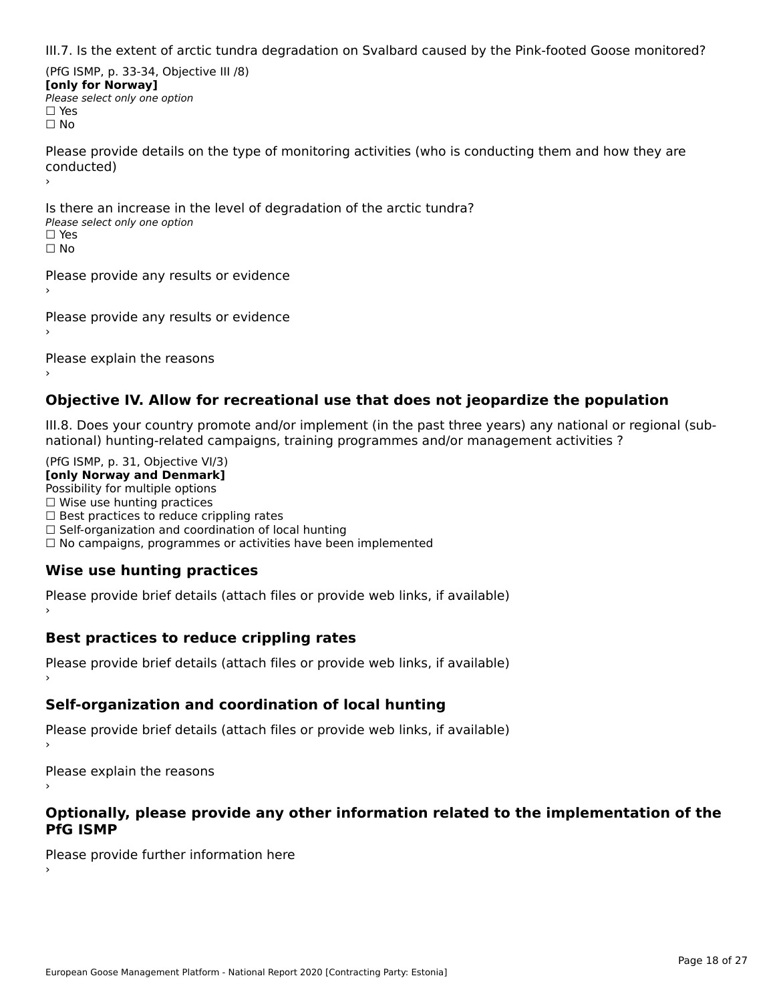III.7. Is the extent of arctic tundra degradation on Svalbard caused by the Pink-footed Goose monitored?

(PfG ISMP, p. 33-34, Objective III /8) **[only for Norway] Please select only one option** □ Yes<br>□ No

Please provide details on the type of monitoring activities (who is conducting them and how they are riease prov ›

Is there an increase in the level of degradation of the arctic tundra? □ CitCre dir increduce in c<br>Please select only one option □ Yes<br>□ No

Please provide any results or evidence

Please provide any results or evidence

Please explain the reasons

›

### **Objective IV. Allow for recreational use that does not jeopardize the population**

III.8. Does your country promote and/or implement (in the past three years) any national or regional (sub $m.0.168$  your country promove and/or miplement (in the past time years) any national or

(PfG ISMP, p. 31, Objective VI/3) **[only Norway and Denmark]** Possibility for multiple options ☐ Wise use hunting practices  $\Box$  wise use numing practices<br> $\Box$  Best practices to reduce crippling rates □ Best practices to reduce cripping rates<br>□ Self-organization and coordination of local hunting □ Sen-organization and coordination or local nunting<br>□ No campaigns, programmes or activities have been implemented

# **Wise use hunting practices**

Please provide brief details (attach files or provide web links, if available) ›

### **Best practices to reduce crippling rates**

Please provide brief details (attach files or provide web links, if available)

## **Self-organization and coordination of local hunting**

Please provide brief details (attach files or provide web links, if available)

Please explain the reasons

### **Optionally, please provide any other information related to the implementation of the PfG ISMP**

Please provide further information here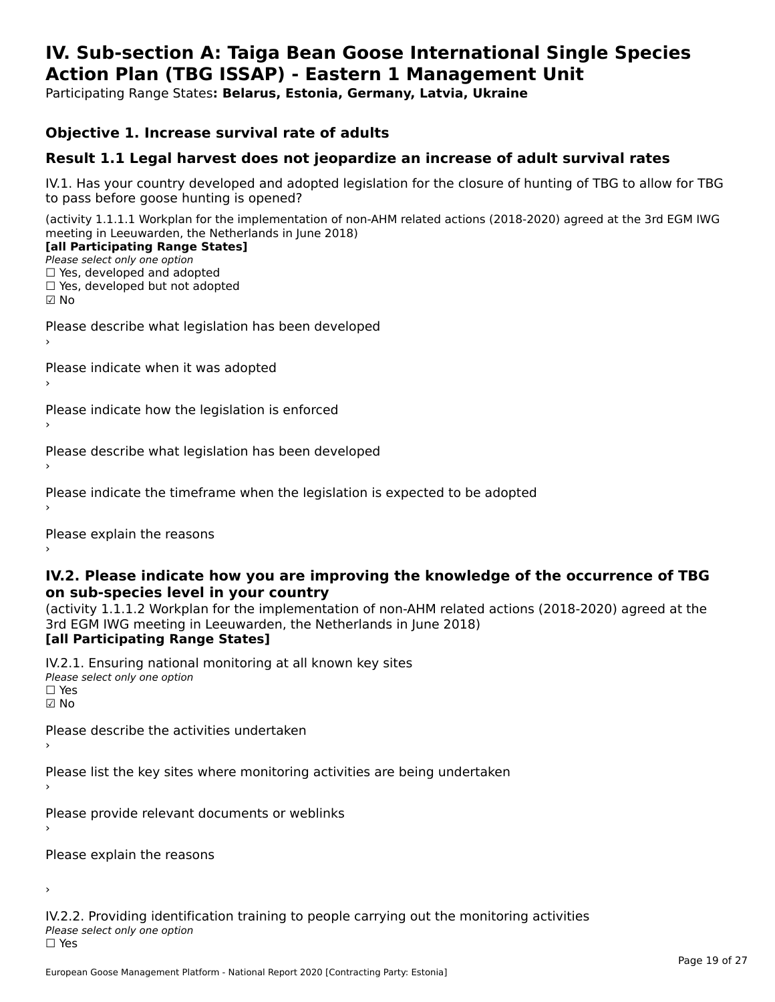#### **IV. Sub-section A: Taiga Bean Goose International Single Species Action Plan (TBG ISSAP) - Eastern 1 Management UnitAction Plan (TBG ISSAP) - Eastern 1 Management Unit**

Participating Range States**: Belarus, Estonia, Germany, Latvia, Ukraine** 

### **Objective 1. Increase survival rate of adults**

### **Result 1.1 Legal harvest does not jeopardize an increase of adult survival rates**

IV.1. Has your country developed and adopted legislation for the closure of hunting of TBG to allow for TBG IV.1. Thas your country developed and add<br>to pass before goose hunting is opened?

(activity 1.1.1.1 Workplan for the implementation of non-AHM related actions (2018-2020) agreed at the 3rd EGM IWG meeting in Leeuwarden, the Netherlands in June 2018) **[all Participating Range States]**

#### [all Participating Range States]

Please select only one option ☐ Yes, developed and adopted

 ☐ Yes, developed but not adopted $\square$  ies, developed but not adopted

Please describe what legislation has been developed

Please indicate when it was adopted

Please indicate how the legislation is enforced

Please describe what legislation has been developed

Please indicate the timeframe when the legislation is expected to be adopted

Please explain the reasons

### **IV.2. Please indicate how you are improving the knowledge of the occurrence of TBG on sub-species level in your country**on sub-species level in your country

on sub-species fever in your country<br>(activity 1.1.1.2 Workplan for the implementation of non-AHM related actions (2018-2020) agreed at the **Brd EGM IWG meeting in Leeuwarden, the Netherlands in June 2018)** 

#### [all Participating Range States]

IV.2.1. Ensuring national monitoring at all known key sites <del>■ Western Chroning</del> Hational<br>Please select only one option ☑ No

Please describe the activities undertaken

Please list the key sites where monitoring activities are being undertaken

Please provide relevant documents or weblinks

Please explain the reasons

›

IV.2.2. Providing identification training to people carrying out the monitoring activities <del>■ Western Fortung</del> Recrement<br>Please select only one option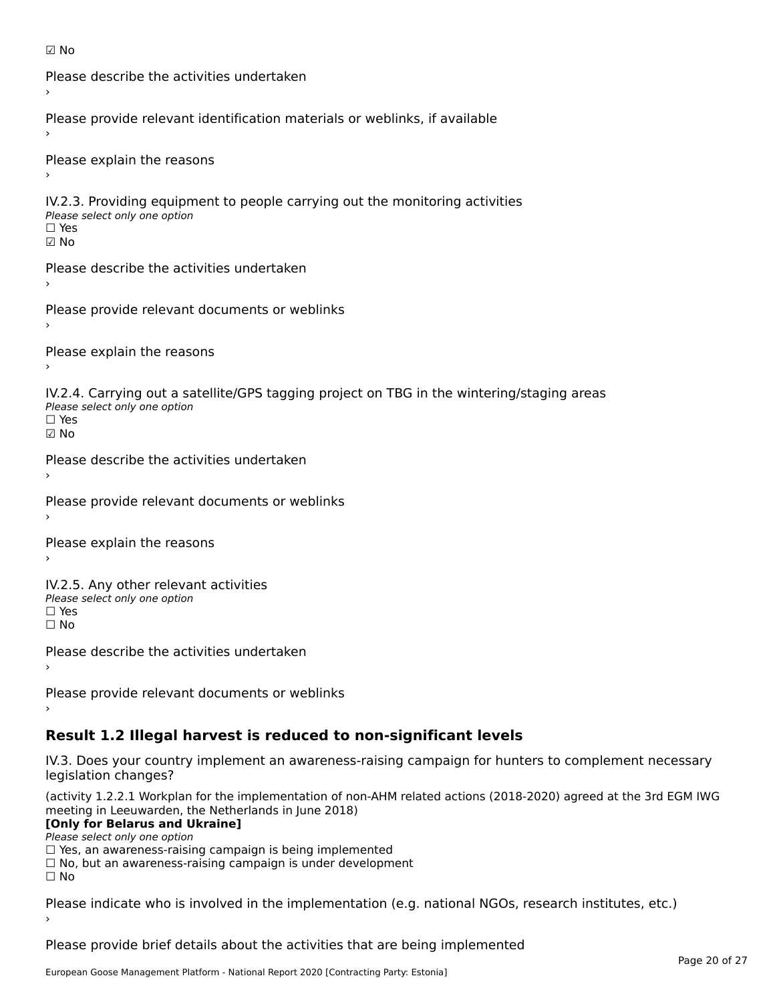```
☑ No
```

```
Please describe the activities undertaken›Please provide relevant identification materials or weblinks, if available
Please explain the reasons
IV.2.3. Providing equipment to people carrying out the monitoring activities
Please select only one option
☐ Yes☑ NoPlease describe the activities undertaken›Please provide relevant documents or weblinks
Please explain the reasons
IV.2.4. Carrying out a satellite/GPS tagging project on TBG in the wintering/staging areas
TV:∠:→: Carrying out a Se<br>Please select only one option
☑ NoPlease describe the activities undertaken›Please provide relevant documents or weblinks
Please explain the reasons
IV.2.5. Any other relevant activities
Please select only one option
☐ Yes□ Yes<br>□ No
Please describe the activities undertaken›Please provide relevant documents or weblinks
Result 1.2 Illegal harvest is reduced to non-significant levels
```
IV.3. Does your country implement an awareness-raising campaign for hunters to complement necessary rv.5. Does your court<br>legislation changes?

(activity 1.2.2.1 Workplan for the implementation of non-AHM related actions (2018-2020) agreed at the 3rd EGM IWG meeting in Leeuwarden, the Netherlands in June 2018)

### **[Only for Belarus and Ukraine]**

Please select only one option

riease select only one option<br>□ Yes, an awareness-raising campaign is being implemented<br>□ Yes, an awareness-raising campaign is under development

□ No, but an awareness-raising campaign is under development<br>□ N。

 $\Box$  No

Please indicate who is involved in the implementation (e.g. national NGOs, research institutes, etc.)

Please provide brief details about the activities that are being implemented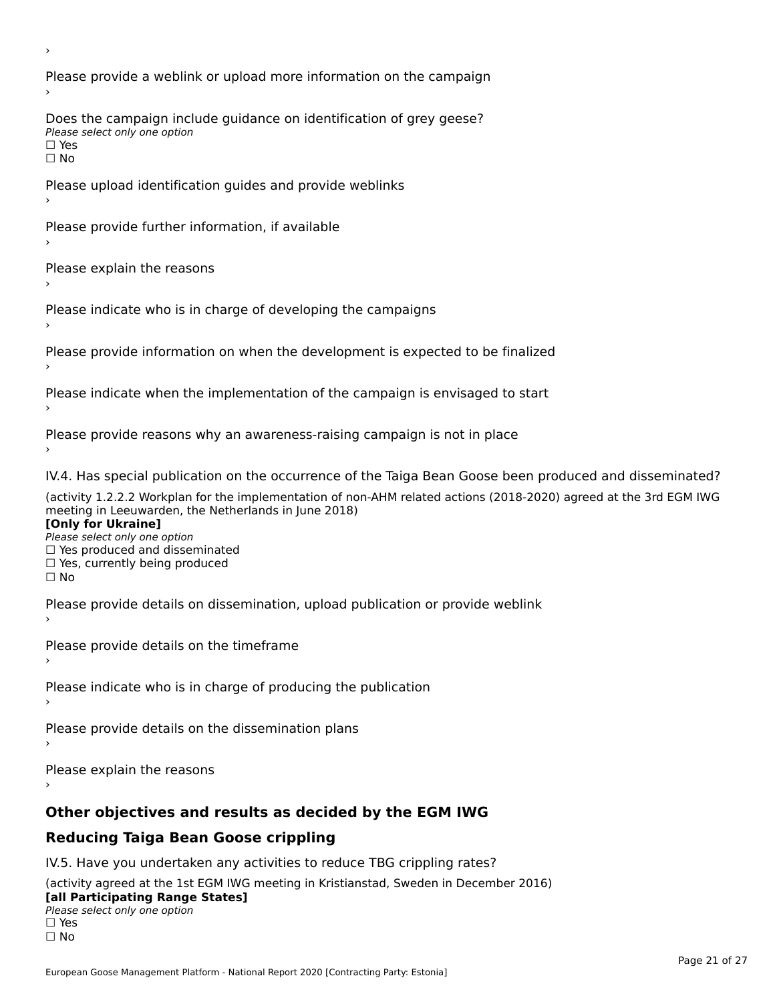Please provide a weblink or upload more information on the campaign Does the campaign include guidance on identification of grey geese? **DOCS THE CAMPATSH THE**<br>Please select only one option □ Yes<br>□ No Please upload identification guides and provide weblinks Please provide further information, if available Please explain the reasons Please indicate who is in charge of developing the campaigns Please provide information on when the development is expected to be finalized Please indicate when the implementation of the campaign is envisaged to start Please provide reasons why an awareness-raising campaign is not in place IV.4. Has special publication on the occurrence of the Taiga Bean Goose been produced and disseminated? (activity 1.2.2.2 Workplan for the implementation of non-AHM related actions (2018-2020) agreed at the 3rd EGM IWG **[Only for Ukraine] □ Yes produced and disseminated**<br>Please select only one option  $\Box$  ies produced and disseminated  $\Box$  ies, currently being produced Please provide details on dissemination, upload publication or provide weblink Please provide details on the timeframe Please indicate who is in charge of producing the publication Please provide details on the dissemination plans Please explain the reasons **Other objectives and results as decided by the EGM IWG Reducing Taiga Bean Goose crippling** IV.5. Have you undertaken any activities to reduce TBG crippling rates? (activity agreed at the 1st EGM IWG meeting in Kristianstad, Sweden in December 2016)

**[all Participating Range States]**[all Participating Range States] **Law Tarticipating Range**<br>Please select only one option □ Yes<br>□ No

›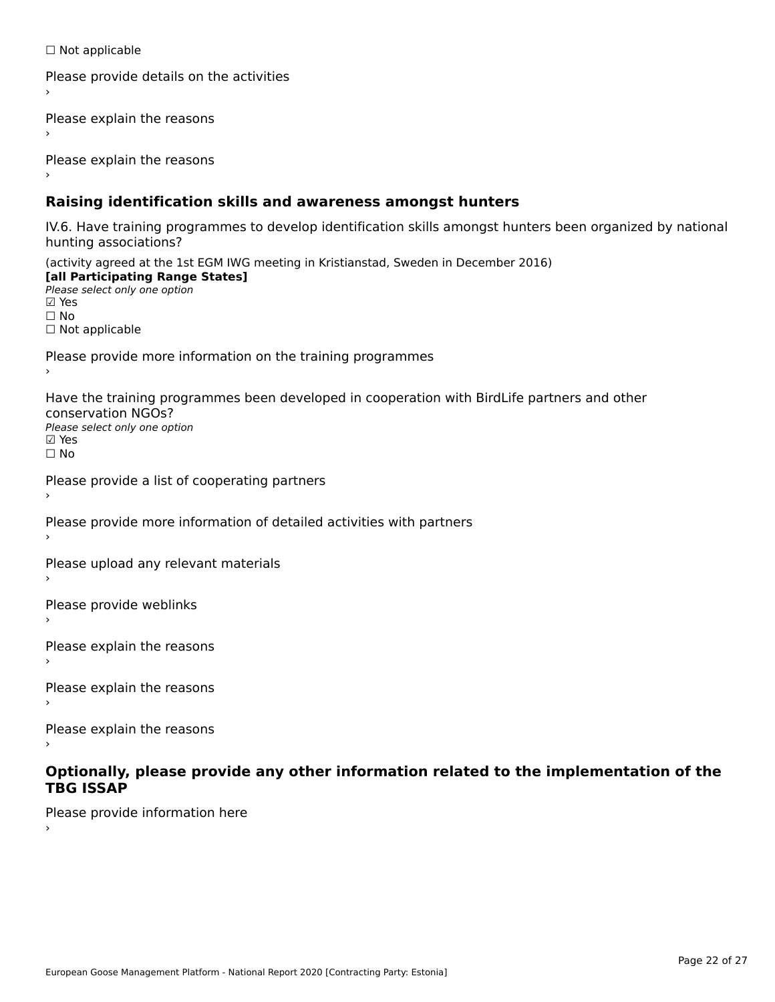☐ Not applicable

```
Please provide details on the activities
```
Please explain the reasons

Please explain the reasons

### **Raising identification skills and awareness amongst hunters**

IV.6. Have training programmes to develop identification skills amongst hunters been organized by national rv.o. riave training pro<br>hunting associations?

(activity agreed at the 1st EGM IWG meeting in Kristianstad, Sweden in December 2016) **[all Participating Range States]**[all Participating Range States] **Lan Tarticipating Range**<br>Please select only one option ☑ Yes☐ No□ Not applicable

Please provide more information on the training programmes

Have the training programmes been developed in cooperation with BirdLife partners and other conservation NGOs?Please select only one option☑ Yes☐ No

```
Please provide a list of cooperating partners
```
Please provide more information of detailed activities with partners

Please upload any relevant materials

Please provide weblinks

Please explain the reasons

Please explain the reasons›

Please explain the reasons

### **Optionally, please provide any other information related to the implementation of the TBG ISSAPTBG ISSAP**

Please provide information here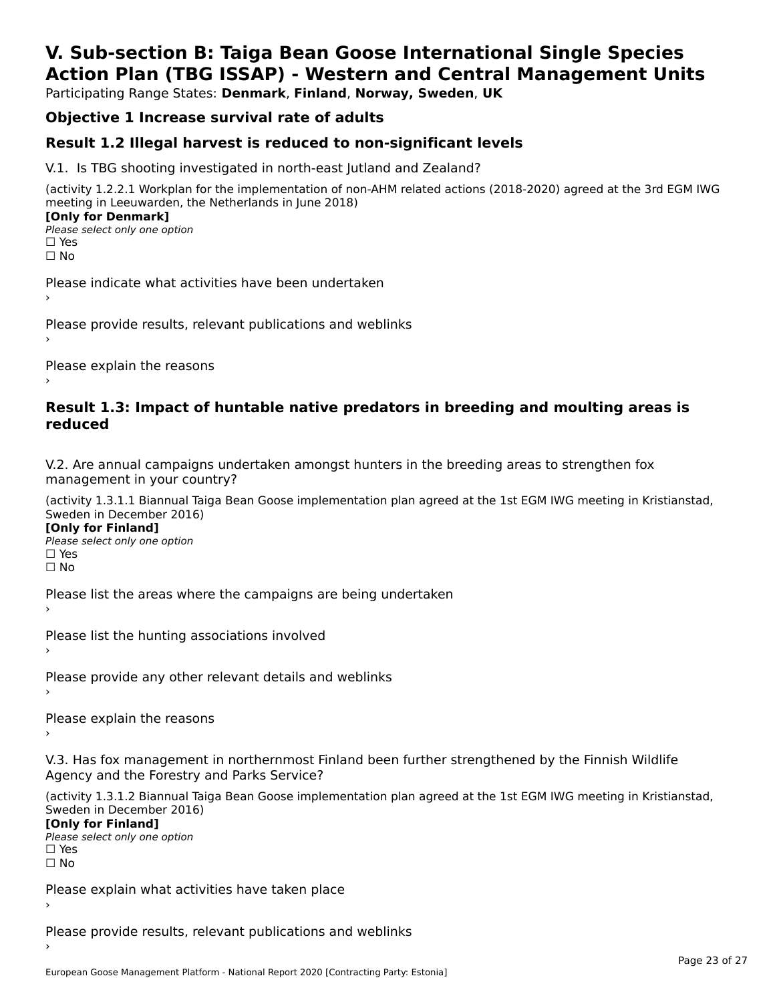# **V. Sub-section B: Taiga Bean Goose International Single SpeciesAction Plan (TBG ISSAP) - Western and Central Management Units**

Participating Range States: **Denmark**, **Finland**, **Norway, Sweden**, **UK**

# **Objective 1 Increase survival rate of adults**

### **Result 1.2 Illegal harvest is reduced to non-significant levels**

V.1. Is TBG shooting investigated in north-east Jutland and Zealand?

(activity 1.2.2.1 Workplan for the implementation of non-AHM related actions (2018-2020) agreed at the 3rd EGM IWG meeting in Leeuwarden, the Netherlands in June 2018) **[Only for Denmark] LOTTLY TOT DETITIONS**<br>Please select only one option

*riease*<br>□ Yes<br>□ No

Please indicate what activities have been undertaken›

Please provide results, relevant publications and weblinks ›

Please explain the reasons

### **Result 1.3: Impact of huntable native predators in breeding and moulting areas is reduced**

V.2. Are annual campaigns undertaken amongst hunters in the breeding areas to strengthen fox v.z. Are annual campaigns und<br>management in your country?

(activity 1.3.1.1 Biannual Taiga Bean Goose implementation plan agreed at the 1st EGM IWG meeting in Kristianstad, Sweden in December 2016)

**[Only for Finland]** Please select only one optionriease<br>□ Yes ים וכ<br>⊡ No

Please list the areas where the campaigns are being undertaken

Please list the hunting associations involved

Please provide any other relevant details and weblinks ›

Please explain the reasons›

V.3. Has fox management in northernmost Finland been further strengthened by the Finnish Wildlife v.5. Has fox management in northernmost F<br>Agency and the Forestry and Parks Service?

(activity 1.3.1.2 Biannual Taiga Bean Goose implementation plan agreed at the 1st EGM IWG meeting in Kristianstad, Sweden in December 2016) Sweden in December 2016)

[Only for Finland]

**Please select only one option** □ Yes<br>□ No

Please explain what activities have taken place

Please provide results, relevant publications and weblinks ›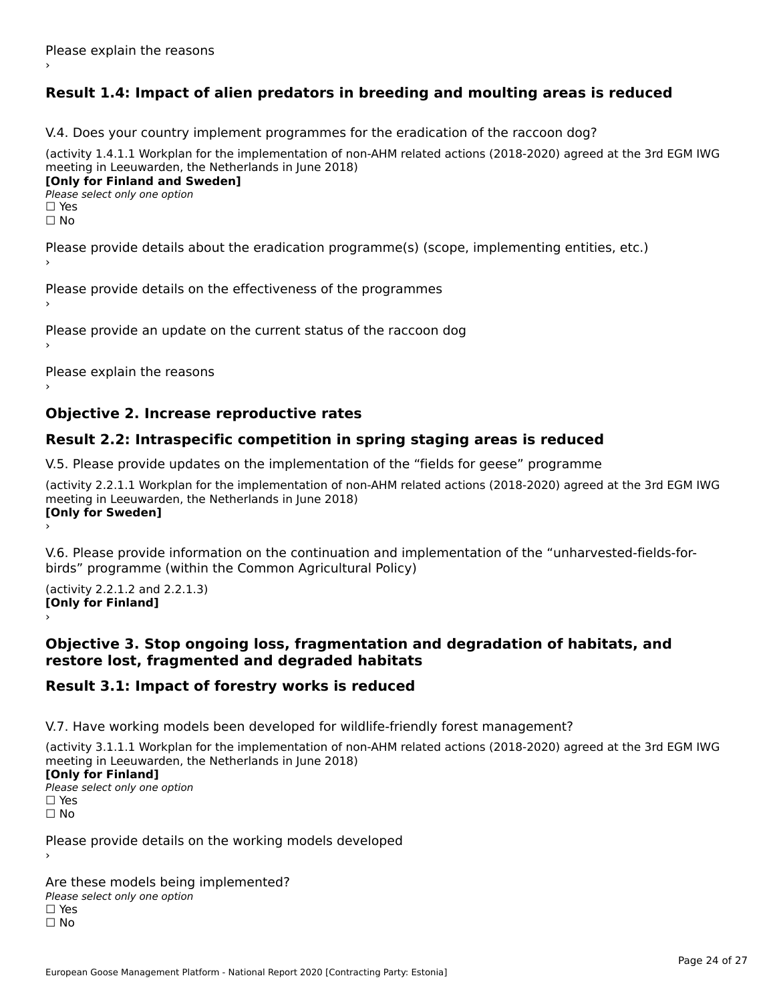# **Result 1.4: Impact of alien predators in breeding and moulting areas is reduced**

V.4. Does your country implement programmes for the eradication of the raccoon dog?

(activity 1.4.1.1 Workplan for the implementation of non-AHM related actions (2018-2020) agreed at the 3rd EGM IWG meeting in Leeuwarden, the Netherlands in June 2018) **[Only for Finland and Sweden]**

**Please select only one option** 

□ Yes<br>□ No

Please provide details about the eradication programme(s) (scope, implementing entities, etc.)

Please provide details on the effectiveness of the programmes

Please provide an update on the current status of the raccoon dog

Please explain the reasons

### **Objective 2. Increase reproductive rates**

### **Result 2.2: Intraspecific competition in spring staging areas is reduced**

V.5. Please provide updates on the implementation of the "fields for geese" programme

(activity 2.2.1.1 Workplan for the implementation of non-AHM related actions (2018-2020) agreed at the 3rd EGM IWG meeting in Leeuwarden, the Netherlands in June 2018) Loury for Swedent

V.6. Please provide information on the continuation and implementation of the "unharvested-fields-forbirds" programme (within the Common Agricultural Policy)birds" programme (within the Common Agricultural Policy)

(activity 2.2.1.2 and 2.2.1.3) **[Only for Finland]** ›

### **Objective 3. Stop ongoing loss, fragmentation and degradation of habitats, and restore lost, fragmented and degraded habitats**

### **Result 3.1: Impact of forestry works is reduced**

V.7. Have working models been developed for wildlife-friendly forest management?

(activity 3.1.1.1 Workplan for the implementation of non-AHM related actions (2018-2020) agreed at the 3rd EGM IWG meeting in Leeuwarden, the Netherlands in June 2018)

### **[Only for Finland]**

**Please select only one option** □ Yes<br>□ No

Please provide details on the working models developed

Are these models being implemented? ∩ne enese moders being<br>Please select only one option □ Yes<br>□ No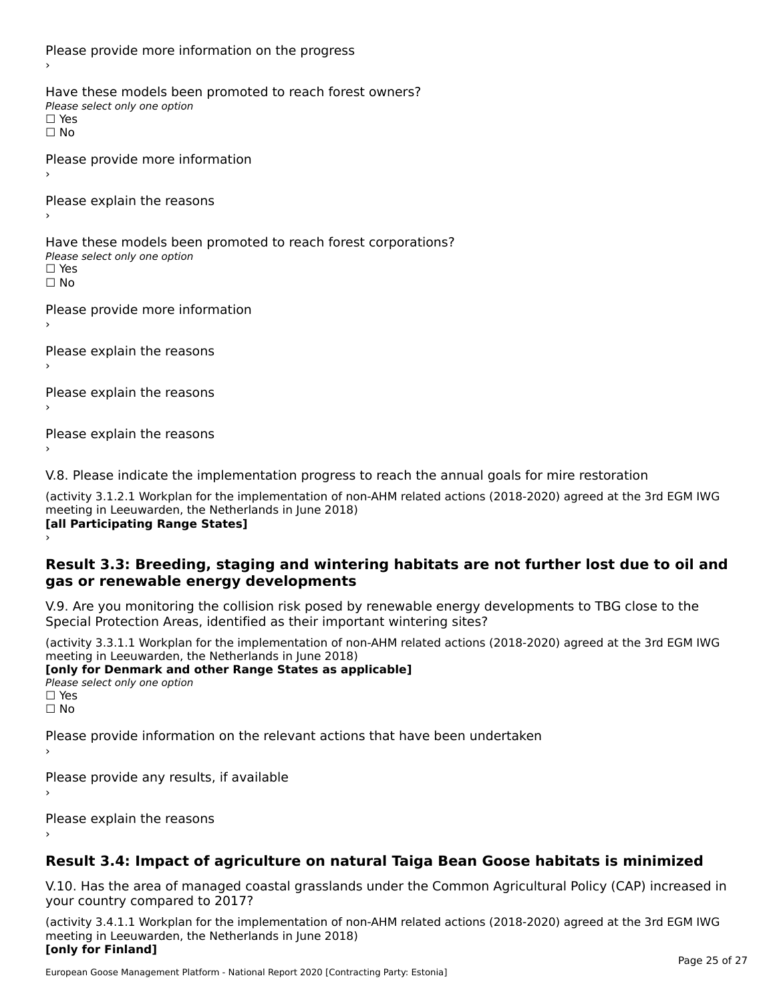Please provide more information on the progress Have these models been promoted to reach forest owners? ∩ave these models bee<br>Please select only one option □ Yes<br>□ No Please provide more information Please explain the reasons ›Have these models been promoted to reach forest corporations? ∩ave these models bee<br>Please select only one option □ Yes<br>□ No Please provide more information Please explain the reasons ›Please explain the reasons›Please explain the reasons›

V.8. Please indicate the implementation progress to reach the annual goals for mire restoration

(activity 3.1.2.1 Workplan for the implementation of non-AHM related actions (2018-2020) agreed at the 3rd EGM IWG meeting in Leeuwarden, the Netherlands in June 2018) **[all Participating Range States]** ›

**Result 3.3: Breeding, staging and wintering habitats are not further lost due to oil and gas or renewable energy developments**gas or renewable energy developments

V.9. Are you monitoring the collision risk posed by renewable energy developments to TBG close to the Special Protection Areas, identified as their important wintering sites?

(activity 3.3.1.1 Workplan for the implementation of non-AHM related actions (2018-2020) agreed at the 3rd EGM IWG meeting in Leeuwarden, the Netherlands in June 2018) **[only for Denmark and other Range States as applicable]**

```
Please select only one option
□ Yes<br>□ No
```
Please provide information on the relevant actions that have been undertaken ›

Please provide any results, if available

Please explain the reasons

# **Result 3.4: Impact of agriculture on natural Taiga Bean Goose habitats is minimized**

V.10. Has the area of managed coastal grasslands under the Common Agricultural Policy (CAP) increased in

(activity 3.4.1.1 Workplan for the implementation of non-AHM related actions (2018-2020) agreed at the 3rd EGM IWG meeting in Leeuwarden, the Netherlands in June 2018) **[only for Finland]**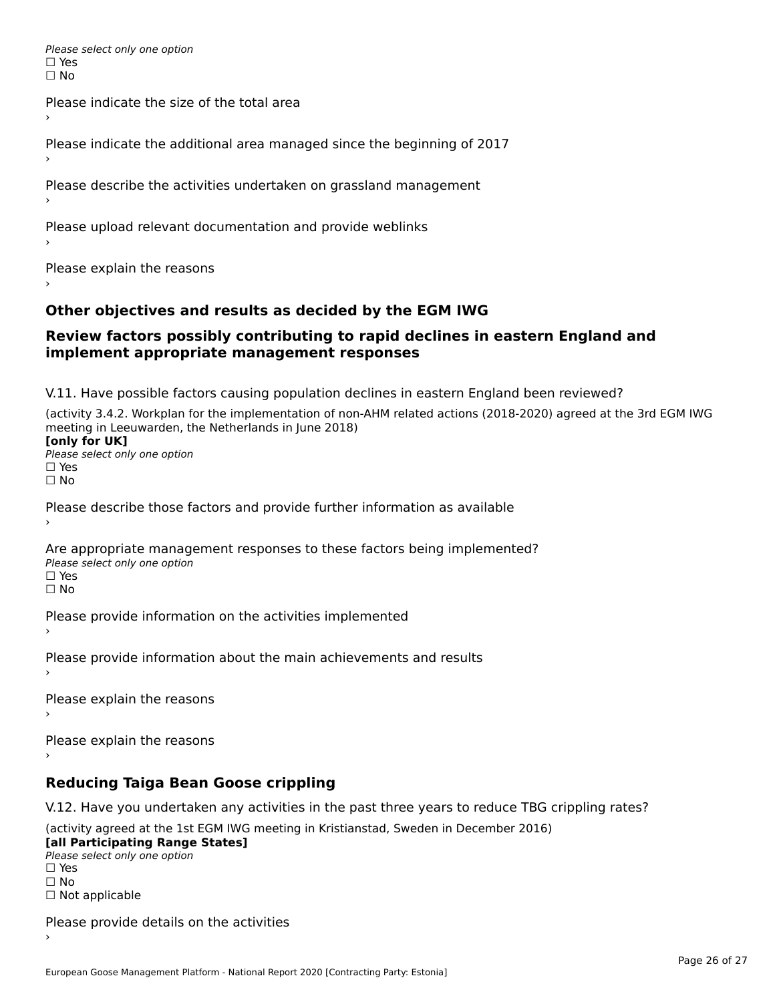Please select only one option □ Yes<br>□ No

Please indicate the size of the total area›

Please indicate the additional area managed since the beginning of 2017

Please describe the activities undertaken on grassland management

Please upload relevant documentation and provide weblinks

Please explain the reasons

### **Other objectives and results as decided by the EGM IWG**

### **Review factors possibly contributing to rapid declines in eastern England and implement appropriate management responses**implement appropriate management responses

V.11. Have possible factors causing population declines in eastern England been reviewed?

(activity 3.4.2. Workplan for the implementation of non-AHM related actions (2018-2020) agreed at the 3rd EGM IWG meeting in Leeuwarden, the Netherlands in June 2018)<br>**[only for UK]** 

**∐omy for OR**<br>Please select only one option □ Yes<br>□ No

Please describe those factors and provide further information as available

Are appropriate management responses to these factors being implemented? Please select only one option ים<br>⊡ No

Please provide information on the activities implemented

Please provide information about the main achievements and results›

Please explain the reasons

Please explain the reasons

**Reducing Taiga Bean Goose crippling**

V.12. Have you undertaken any activities in the past three years to reduce TBG crippling rates?

(activity agreed at the 1st EGM IWG meeting in Kristianstad, Sweden in December 2016) **[all Participating Range States]**

[all Participating Range States] Please select only one option☐ Yesים<br>⊡ No □ Not applicable

Please provide details on the activities